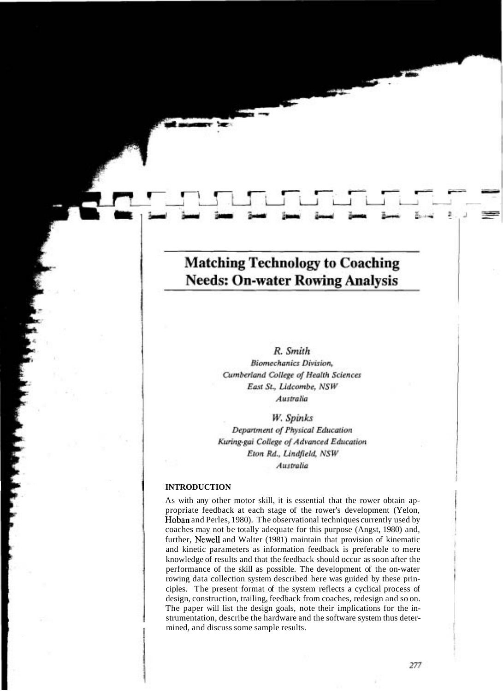# **Matching Technology to Coaching Needs: On-water Rowing Analysis**

# R. Smith

**Biomechanics Division.** Cumberland College of Health Sciences East St., Lidcombe, NSW Australia

W. Spinks

Department of Physical Education Kuring-gai College of Advanced Education Eton Rd., Lindfield, NSW Australia

#### 1 **INTRODUCTION**

As with any other motor skill, it is essential that the rower obtain appropriate feedback at each stage of the rower's development (Yelon, Hoban and Perles, 1980). The observational techniques currently used by coaches may not be totally adequate for this purpose (Angst, 1980) and, further, Newell and Walter (1981) maintain that provision of kinematic and kinetic parameters as information feedback is preferable to mere knowledge of results and that the feedback should occur as soon after the performance of the skill as possible. The development of the on-water rowing data collection system described here was guided by these principles. The present format of the system reflects a cyclical process of design, construction, trailing, feedback from coaches, redesign and so on. The paper will list the design goals, note their implications for the instrumentation, describe the hardware and the software system thus determined, and discuss some sample results.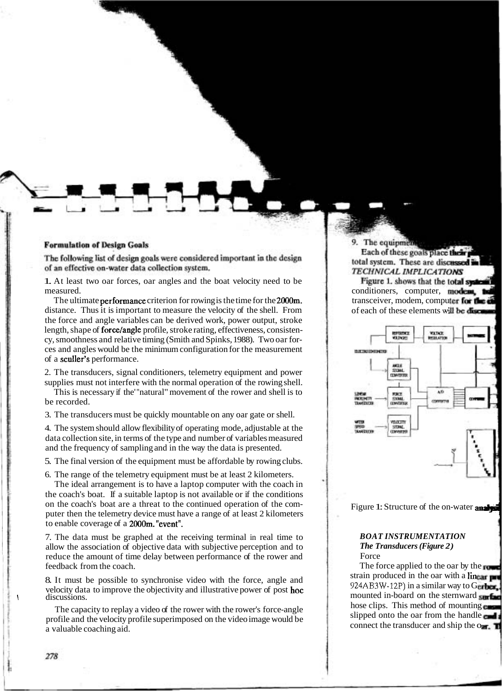#### **Formulation of Design Goals**

The following list of design goals were considered important in the design of an effective on-water data collection system.

1. At least two oar forces, oar angles and the boat velocity need to be measured.

The ultimate performance criterion for rowing is the time for the 2000m. distance. Thus it is important to measure the velocity of the shell. From the force and angle variables can be derived work, power output, stroke length, shape of force/angle profile, stroke rating, effectiveness, consistency, smoothness and relative timing (Smith and Spinks, 1988). Two oar forces and angles would be the minimum configuration for the measurement of a sculler's performance.

2. The transducers, signal conditioners, telemetry equipment and power supplies must not interfere with the normal operation of the rowing shell.

This is necessary if the' "natural" movement of the rower and shell is to be recorded.

3. The transducers must be quickly mountable on any oar gate or shell.

4. The system should allow flexibility of operating mode, adjustable at the data collection site, in terms of the type and number of variables measured and the frequency of sampling and in the way the data is presented.

5. The final version of the equipment must be affordable by rowing clubs.

6. The range of the telemetry equipment must be at least 2 kilometers.

The ideal arrangement is to have a laptop computer with the coach in the coach's boat. If a suitable laptop is not available or if the conditions on the coach's boat are a threat to the continued operation of the computer then the telemetry device must have a range of at least 2 kilometers to enable coverage of a 2000m. "event".

7. The data must be graphed at the receiving terminal in real time to allow the association of objective data with subjective perception and to reduce the amount of time delay between performance of the rower and feedback from the coach.

8. It must be possible to synchronise video with the force, angle and velocity data to improve the objectivity and illustrative power of post hoc discussions.

The capacity to replay a video of the rower with the rower's force-angle profile and the velocity profile superimposed on the video image would be a valuable coaching aid.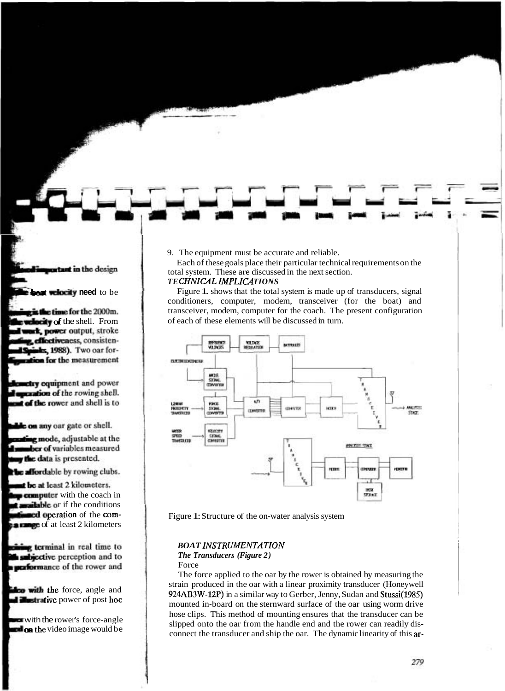9. The equipment must be accurate and reliable.

Each of these goals place their particular technical requirements on the total system. These are discussed in the next section.

## **TECHNICAL IMPLICATIONS**

Figure 1. shows that the total system is made up of transducers, signal conditioners, computer, modem, transceiver (for the boat) and transceiver, modem, computer for the coach. The present configuration of each of these elements will be discussed in turn.



Figure 1: Structure of the on-water analysis system

# **BOAT INSTRUMENTATION**

## *The Transducers (Figure 2)*

#### Force

The force applied to the oar by the rower is obtained by measuring the strain produced in the oar with a linear proximity transducer (Honeywell 924AB3W-12P) in a similar way to Gerber, Jenny, Sudan and Stussi(1985) mounted in-board on the sternward surface of the oar using worm drive hose clips. This method of mounting ensures that the transducer can be slipped onto the oar from the handle end and the rower can readily disconnect the transducer and ship the oar. The dynamic linearity of this ar-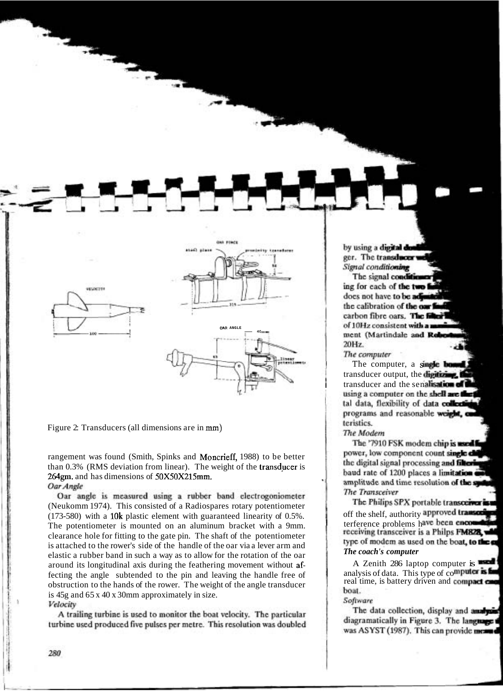

Figure 2: Transducers (all dimensions are in mm)

rangement was found (Smith, Spinks and Moncrieff, 1988) to be better than  $0.3\%$  (RMS deviation from linear). The weight of the transducer is 264gm. and has dimensions of 50X50X215mm.<br>Oar Angle

Oar angle is measured using a rubber band electrogoniometer (Neukomm 1974). This consisted of a Radiospares rotary potentiometer (173-580) with a 10k plastic element with guaranteed linearity of  $0.5\%$ . The potentiometer is mounted on an aluminum bracket with a 9mm. clearance hole for fitting to the gate pin. The shaft of the potentiometer is attached to the rower's side of the handle of the oar via a lever arm and elastic a rubber band in such a way as to allow for the rotation of the oar around its longitudinal axis during the feathering movement without affecting the angle subtended to the pin and leaving the handle free of obstruction to the hands of the rower. The weight of the angle transducer is 45g and 65 x 40 x 30mm approximately in size.<br>Velocity

A trailing turbine is used to monitor the boat velocity. The particular turbine used produced five pulses per metre. This resolution was doubled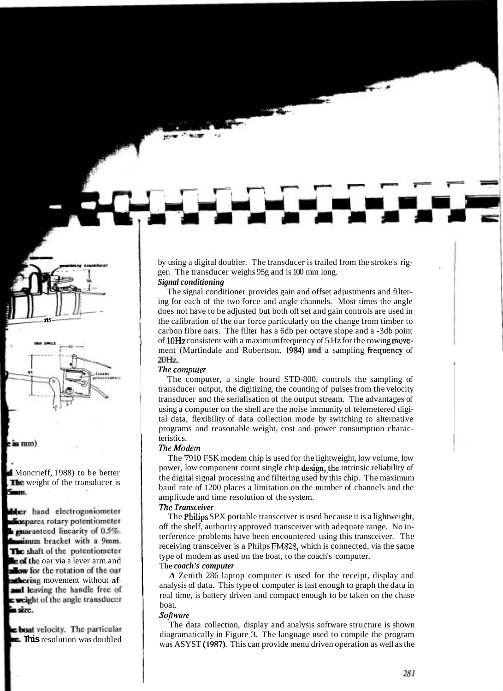by using a digital doubler. The transducer is trailed from the stroke's rigger. The transducer weighs 95g and is 100 mm long.

# *Signal conditioning*

The signal conditioner provides gain and offset adjustments and filtering for each of the two force and angle channels. Most times the angle does not have to be adjusted but both off set and gain controls are used in the calibration of the oar force particularly on the change from timber to carbon fibre oars. The filter has a 6db per octave slope and a -3db point of lOHz consistent with a maximum frequency of 5 Hz for the rowing movement (Martindale and Robertson, 1984) and a sampling frequency of 20Hz.

#### *The computer*

The computer, a single board STD-800, controls the sampling of transducer output, the digitizing, the counting of pulses from the velocity transducer and the serialisation of the output stream. The advantages of using a computer on the shell are the noise immunity of telemetered digital data, flexibility of data collection mode by switching to alternative programs and reasonable weight, cost and power consumption characteristics.

#### *The Modem*

The '7910 FSK modem chip is used for the lightweight, low volume, low power, low component count single chip design, the intrinsic reliability of the digital signal processing and filtering used by this chip. The maximum baud rate of 1200 places a limitation on the number of channels and the amplitude and time resolution of the system.

## *77ze Transceiver*

The Philips SPX portable transceiver is used because it is a lightweight, off the shelf, authority approved transceiver with adequate range. No interference problems have been encountered using this transceiver. The receiving transceiver is a Philps FM828, which is connected, via the same type of modem as used on the boat, to the coach's computer.

#### The *coach's computer*

*A* Zenith 286 laptop computer is used for the receipt, display and analysis of data. This type of computer is fast enough to graph the data in real time, is battery driven and compact enough to be taken on the chase boat.

#### *Softwure*

The data collection, display and analysis software structure is shown diagramatically in Figure 3. The language used to compile the program was ASYST (1987). This can provide menu driven operation as well as the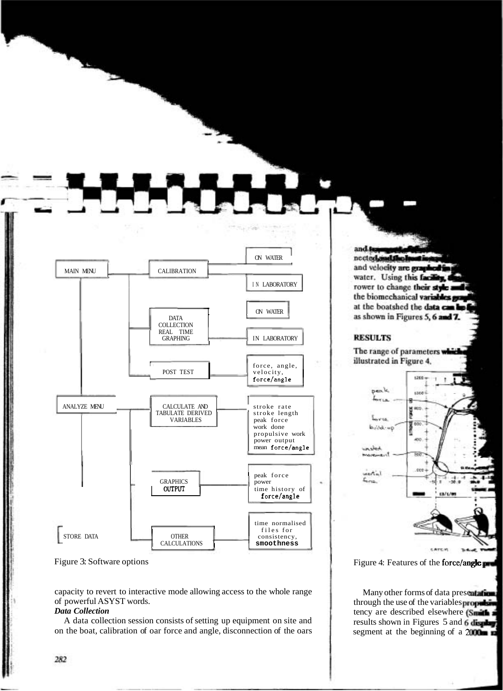

Figure 3: Software options

capacity to revert to interactive mode allowing access to the whole range of powerful ASYST words.

#### *Data Collection*

A data collection session consists of setting up equipment on site and on the boat, calibration of oar force and angle, disconnection of the oars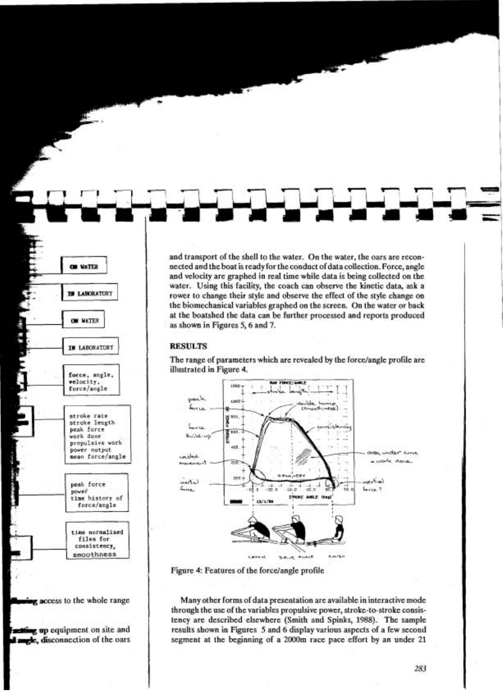and transport of the shell to the water. On the water, the oars are reconnected and the boat is ready for the conduct of data collection. Force, angle and velocity are graphed in real time while data is being collected on the water. Using this facility, the coach can observe the kinetic data, ask a rower to change their style and observe the effect of the style change on the biomechanical variables graphed on the screen. On the water or back at the boatshed the data can be further processed and reports produced as shown in Figures 5, 6 and 7.

#### **RESULTS**

The range of parameters which are revealed by the force/angle profile are illustrated in Figure 4.



Figure 4: Features of the force/angle profile

Many other forms of data presentation are available in interactive mode through the use of the variables propulsive power, stroke-to-stroke consistency are described elsewhere (Smith and Spinks, 1988). The sample results shown in Figures 5 and 6 display various aspects of a few second segment at the beginning of a 2000m race pace effort by an under 21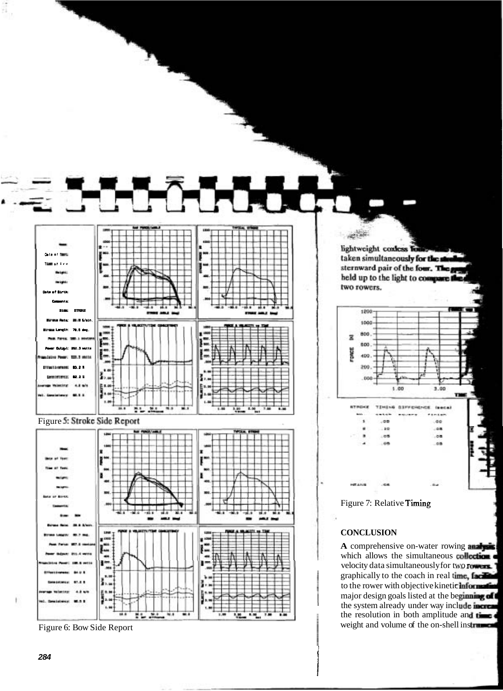

Figure 6: Bow Side Report

t.m

œ,

 $11.31$ 

 $\frac{1}{2}$ œ. Ŵ

8.8 ū

пÄ

284

ŧ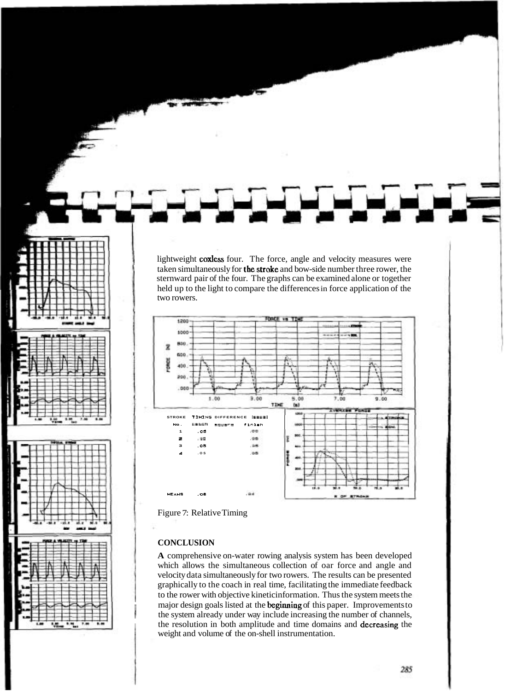lightweight **coxless** four. The force, angle and velocity measures were taken simultaneously for the stroke and bow-side number three rower, the sternward pair of the four. The graphs can be examined alone or together held up to the light to compare the differences in force application of the two rowers



Figure 7: Relative Timing

#### **CONCLUSION**

A comprehensive on-water rowing analysis system has been developed which allows the simultaneous collection of oar force and angle and velocity data simultaneously for two rowers. The results can be presented graphically to the coach in real time, facilitating the immediate feedback to the rower with objective kinetic information. Thus the system meets the major design goals listed at the **beginning** of this paper. Improvements to the system already under way include increasing the number of channels, the resolution in both amplitude and time domains and decreasing the weight and volume of the on-shell instrumentation.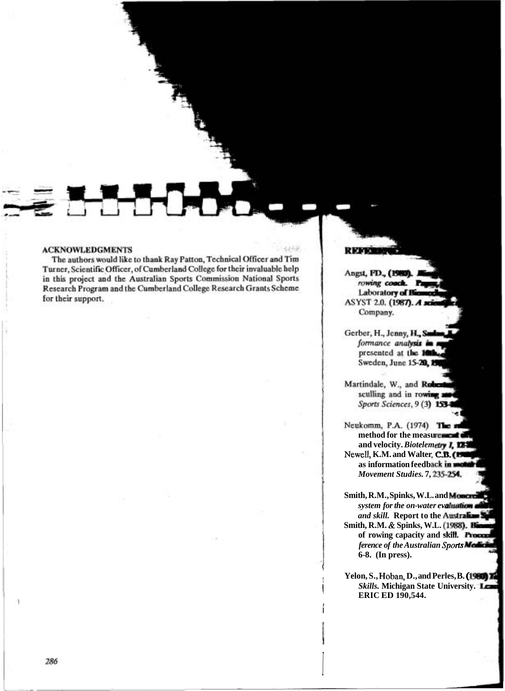#### **ACKNOWLEDGMENTS**

The authors would like to thank Ray Patton, Technical Officer and Tim Turner, Scientific Officer, of Cumberland College for their invaluable help in this project and the Australian Sports Commission National Sports<br>Research Program and the Cumberland College Research Grants Scheme for their support.

فتلخذ